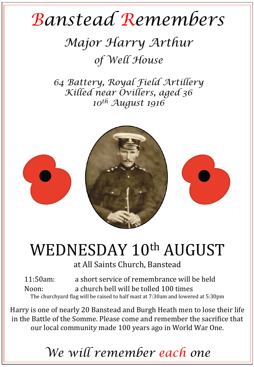## *Banstead Remembers*

## *Major Harry Arthur of Well House*

*64 Battery, Royal Field Artillery Killed near Ovillers, aged 36 10th August 1916* 



## WEDNESDAY 10<sup>th</sup> AUGUST

at All Saints Church, Banstead

11:50am: a short service of remembrance will be held Noon: a church bell will be tolled 100 times The churchyard flag will be raised to half mast at  $7:30$ am and lowered at  $5:30$ pm

Harry is one of nearly 20 Banstead and Burgh Heath men to lose their life in the Battle of the Somme. Please come and remember the sacrifice that our local community made 100 years ago in World War One.

*We will remember each one*